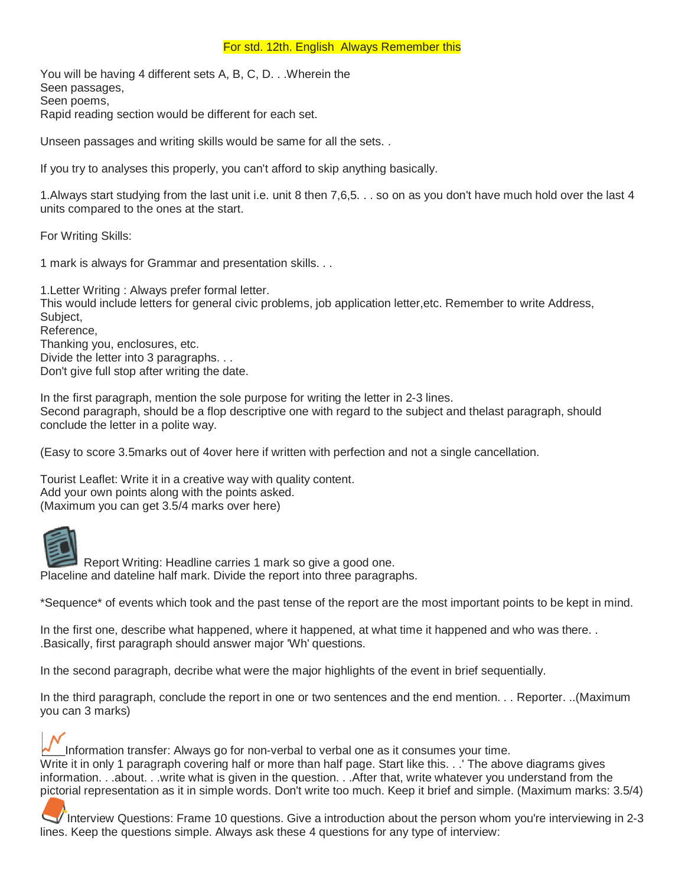#### For std. 12th. English Always Remember this

You will be having 4 different sets A, B, C, D. . .Wherein the Seen passages, Seen poems, Rapid reading section would be different for each set.

Unseen passages and writing skills would be same for all the sets. .

If you try to analyses this properly, you can't afford to skip anything basically.

1.Always start studying from the last unit i.e. unit 8 then 7,6,5. . . so on as you don't have much hold over the last 4 units compared to the ones at the start.

For Writing Skills:

1 mark is always for Grammar and presentation skills. . .

1.Letter Writing : Always prefer formal letter. This would include letters for general civic problems, job application letter,etc. Remember to write Address, Subject, Reference,

Thanking you, enclosures, etc. Divide the letter into 3 paragraphs. . . Don't give full stop after writing the date.

In the first paragraph, mention the sole purpose for writing the letter in 2-3 lines. Second paragraph, should be a flop descriptive one with regard to the subject and thelast paragraph, should conclude the letter in a polite way.

(Easy to score 3.5marks out of 4over here if written with perfection and not a single cancellation.

Tourist Leaflet: Write it in a creative way with quality content. Add your own points along with the points asked. (Maximum you can get 3.5/4 marks over here)



Report Writing: Headline carries 1 mark so give a good one. Placeline and dateline half mark. Divide the report into three paragraphs.

\*Sequence\* of events which took and the past tense of the report are the most important points to be kept in mind.

In the first one, describe what happened, where it happened, at what time it happened and who was there. . .Basically, first paragraph should answer major 'Wh' questions.

In the second paragraph, decribe what were the major highlights of the event in brief sequentially.

In the third paragraph, conclude the report in one or two sentences and the end mention. . . Reporter. ..(Maximum you can 3 marks)

Information transfer: Always go for non-verbal to verbal one as it consumes your time. Write it in only 1 paragraph covering half or more than half page. Start like this. . .' The above diagrams gives information. . .about. . .write what is given in the question. . .After that, write whatever you understand from the pictorial representation as it in simple words. Don't write too much. Keep it brief and simple. (Maximum marks: 3.5/4)

Interview Questions: Frame 10 questions. Give a introduction about the person whom you're interviewing in 2-3 lines. Keep the questions simple. Always ask these 4 questions for any type of interview: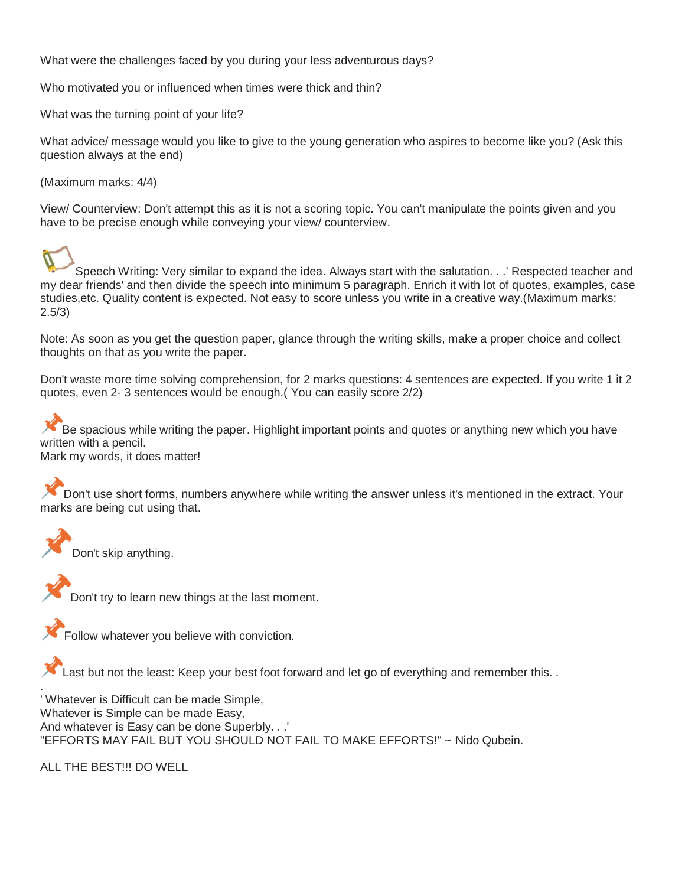What were the challenges faced by you during your less adventurous days?

Who motivated you or influenced when times were thick and thin?

What was the turning point of your life?

What advice/ message would you like to give to the young generation who aspires to become like you? (Ask this question always at the end)

(Maximum marks: 4/4)

View/ Counterview: Don't attempt this as it is not a scoring topic. You can't manipulate the points given and you have to be precise enough while conveying your view/ counterview.

Speech Writing: Very similar to expand the idea. Always start with the salutation. . .' Respected teacher and my dear friends' and then divide the speech into minimum 5 paragraph. Enrich it with lot of quotes, examples, case studies,etc. Quality content is expected. Not easy to score unless you write in a creative way.(Maximum marks: 2.5/3)

Note: As soon as you get the question paper, glance through the writing skills, make a proper choice and collect thoughts on that as you write the paper.

Don't waste more time solving comprehension, for 2 marks questions: 4 sentences are expected. If you write 1 it 2 quotes, even 2- 3 sentences would be enough.( You can easily score 2/2)

Be spacious while writing the paper. Highlight important points and quotes or anything new which you have written with a pencil.

Mark my words, it does matter!

Don't use short forms, numbers anywhere while writing the answer unless it's mentioned in the extract. Your marks are being cut using that.

**Don't skip anything.** 

**Don't try to learn new things at the last moment.** 

Follow whatever you believe with conviction.

Last but not the least: Keep your best foot forward and let go of everything and remember this. .

. ' Whatever is Difficult can be made Simple, Whatever is Simple can be made Easy, And whatever is Easy can be done Superbly. . .' "EFFORTS MAY FAIL BUT YOU SHOULD NOT FAIL TO MAKE EFFORTS!" ~ Nido Qubein.

ALL THE BEST!!! DO WELL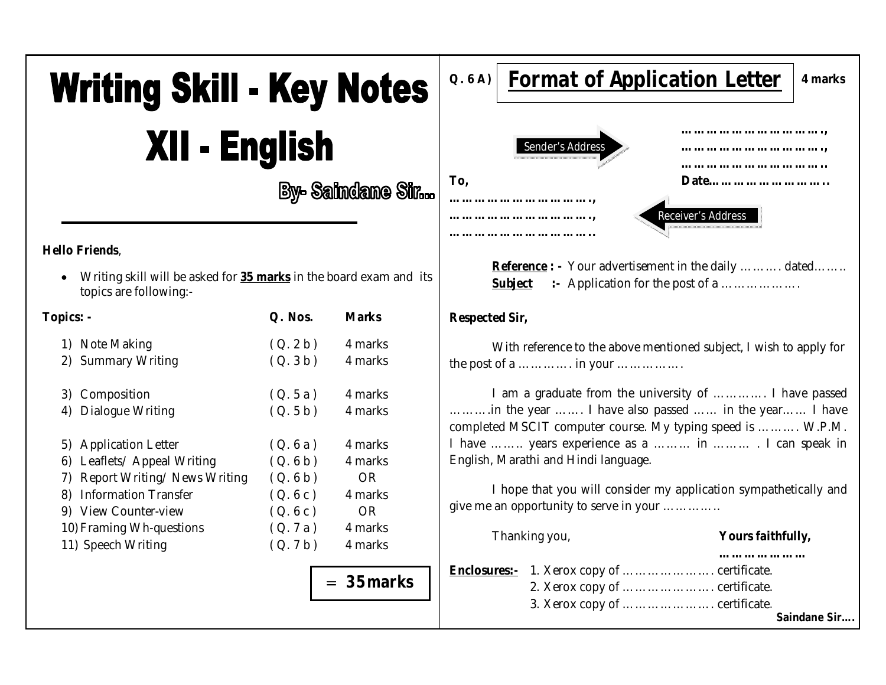# **Writing Skill - Key Notes** XII - English

**By- Saindane Sin...** 

#### **Hello Friends**,

 Writing skill will be asked for **35 marks** in the board exam and its topics are following:-

| Topics: -                         | Q. Nos. | <b>Marks</b> |
|-----------------------------------|---------|--------------|
| 1) Note Making                    | (Q.2b)  | 4 marks      |
| 2) Summary Writing                | (Q.3b)  | 4 marks      |
| 3) Composition                    | (Q.5a)  | 4 marks      |
| 4) Dialogue Writing               | (Q.5b)  | 4 marks      |
| 5) Application Letter             | (Q.6a)  | 4 marks      |
| 6) Leaflets/ Appeal Writing       | (Q.6b)  | 4 marks      |
| Report Writing/News Writing<br>7) | (Q.6b)  | OR.          |
| <b>Information Transfer</b><br>8) | (Q.6c)  | 4 marks      |
| 9) View Counter-view              | (Q.6c)  | OR.          |
| 10) Framing Wh-questions          | (Q.7a)  | 4 marks      |
| 11) Speech Writing                | (Q.7b)  | 4 marks      |
|                                   |         | $= 35$ marks |
|                                   |         |              |



**Reference** : - Your advertisement in the daily ………. dated……. **Subject** :- Application for the post of a ………………

#### **Respected Sir,**

With reference to the above mentioned subject, I wish to apply for the post of a …………. in your …………….

I am a graduate from the university of …………. I have passed ……….in the year ……. I have also passed …… in the year…… I have completed MSCIT computer course. My typing speed is ………. W.P.M. I have …….. years experience as a ……… in ……… . I can speak in English, Marathi and Hindi language.

I hope that you will consider my application sympathetically and give me an opportunity to serve in your …………..

|  | Thanking you,                                                                                                          | Yours faithfully, |              |  |
|--|------------------------------------------------------------------------------------------------------------------------|-------------------|--------------|--|
|  | <b>Enclosures:-</b> 1. Xerox copy of  certificate.<br>2. Xerox copy of  certificate.<br>3. Xerox copy of  certificate. |                   | Saindane Sir |  |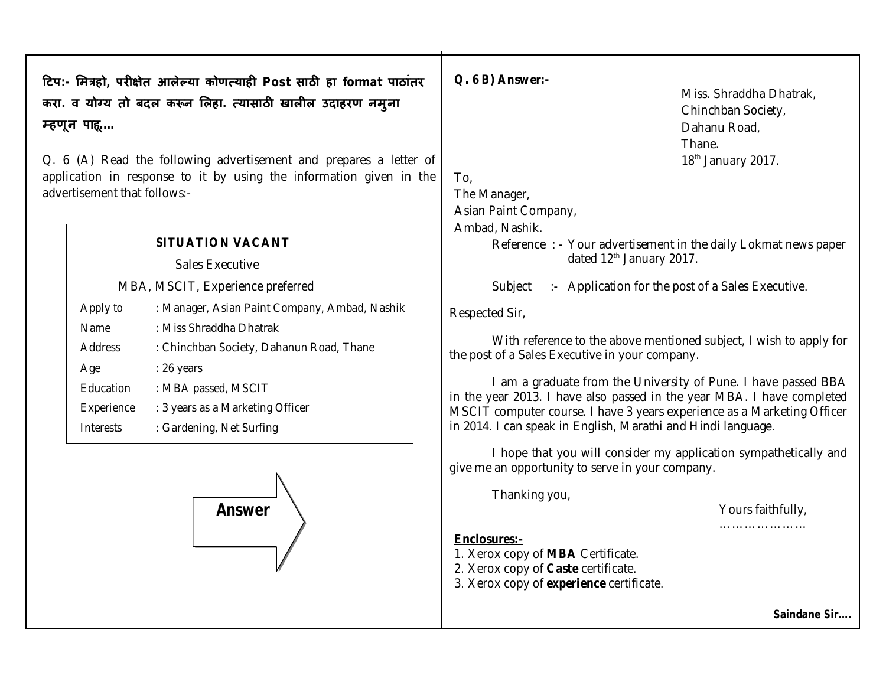टिप:- मित्रहो, परीक्षेत आलेल्या कोणत्याही Post साठी हा format पाठांतर करा. व योग्य तो बदल करून लिहा. त्यासाठी खालील उदाहरण नमुना म्हणून पाहू....

Q. 6 (A) Read the following advertisement and prepares a letter of application in response to it by using the information given in the advertisement that follows:-

#### **SITUATION VACANT**

Sales Executive

MBA, MSCIT, Experience preferred

| Apply to       | : Manager, Asian Paint Company, Ambad, Nashik |
|----------------|-----------------------------------------------|
| Name           | : Miss Shraddha Dhatrak                       |
| <b>Address</b> | : Chinchban Society, Dahanun Road, Thane      |
| Age            | $: 26$ years                                  |
| Education      | : MBA passed, MSCIT                           |
| Experience     | : 3 years as a Marketing Officer              |
| Interests      | : Gardening, Net Surfing                      |



Q. 6 B) Answer:-

Miss. Shraddha Dhatrak. Chinchban Society, Dahanu Road, Thane. 18<sup>th</sup> January 2017.

To,

The Manager,

Asian Paint Company,

Ambad, Nashik.

Reference : - Your advertisement in the daily Lokmat news paper dated 12<sup>th</sup> January 2017.

Subject :- Application for the post of a Sales Executive.

Respected Sir,

With reference to the above mentioned subject, I wish to apply for the post of a Sales Executive in your company.

I am a graduate from the University of Pune. I have passed BBA in the year 2013. I have also passed in the year MBA. I have completed MSCIT computer course. I have 3 years experience as a Marketing Officer in 2014. I can speak in English, Marathi and Hindi language.

I hope that you will consider my application sympathetically and give me an opportunity to serve in your company.

Thanking you,

Yours faithfully,

#### 

### Enclosures:-

- 1. Xerox copy of MBA Certificate.
- 2. Xerox copy of Caste certificate.
- 3. Xerox copy of experience certificate.

Saindane Sir....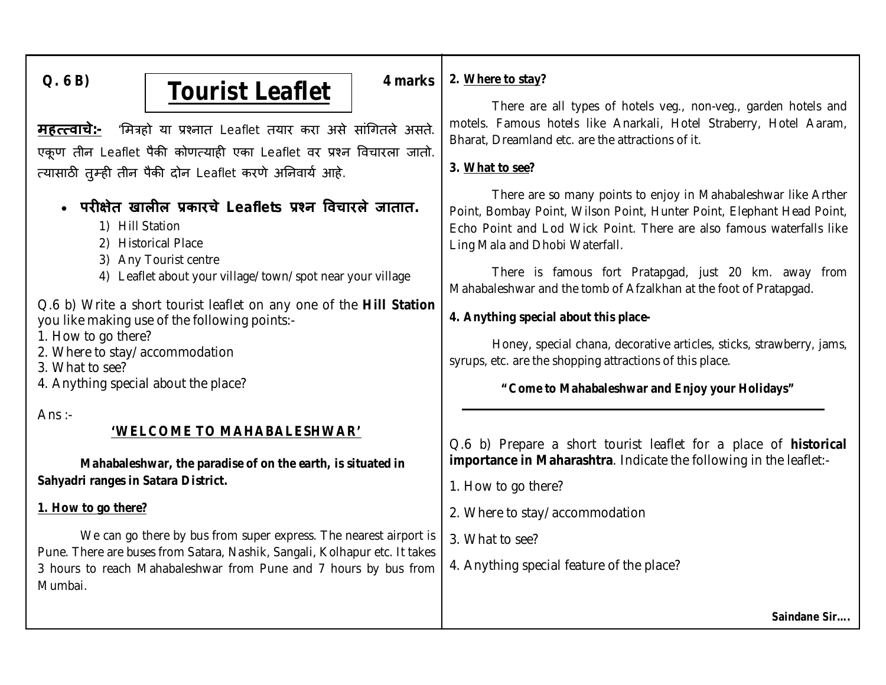## Q. 6 B) **1 Fourist Leaflet**  $\left| \begin{array}{c} 4 \text{ marks} \\ 4 \text{ marks} \end{array} \right|$

**महत्त्वाचे:-** 'मित्रहो या प्रश्नात Leaflet तयार करा असे सांगितले असते. एकूण तीन Leaflet पैकी कोणत्याही एका Leaflet वर प्रश्न विचारला जातो. त्यासाठी तुम्ही तीन पैकी दोन Leaflet करणे अनिवार्य आहे.

## **परȣ¢ेत खालȣल Ĥकारचे Leaflets Ĥæन ͪवचारले जातात.**

- 1) Hill Station
- 2) Historical Place
- 3) Any Tourist centre
- 4) Leaflet about your village/town/spot near your village

Q.6 b) Write a short tourist leaflet on any one of the **Hill Station** you like making use of the following points:-

- 1. How to go there?
- 2. Where to stay/accommodation
- 3. What to see?
- 4. Anything special about the place?

Ans $\therefore$ 

## **'WELCOME TO MAHABALESHWAR'**

**Mahabaleshwar, the paradise of on the earth, is situated in Sahyadri ranges in Satara District.**

## **1. How to go there?**

We can go there by bus from super express. The nearest airport is Pune. There are buses from Satara, Nashik, Sangali, Kolhapur etc. It takes 3 hours to reach Mahabaleshwar from Pune and 7 hours by bus from Mumbai.

## **2. Where to stay?**

There are all types of hotels veg., non-veg., garden hotels and motels. Famous hotels like Anarkali, Hotel Straberry, Hotel Aaram, Bharat, Dreamland etc. are the attractions of it.

## **3. What to see?**

There are so many points to enjoy in Mahabaleshwar like Arther Point, Bombay Point, Wilson Point, Hunter Point, Elephant Head Point, Echo Point and Lod Wick Point. There are also famous waterfalls like Ling Mala and Dhobi Waterfall.

There is famous fort Pratapgad, just 20 km. away from Mahabaleshwar and the tomb of Afzalkhan at the foot of Pratapgad.

## **4. Anything special about this place-**

Honey, special chana, decorative articles, sticks, strawberry, jams, syrups, etc. are the shopping attractions of this place.

## **"Come to Mahabaleshwar and Enjoy your Holidays"**

Q.6 b) Prepare a short tourist leaflet for a place of **historical importance in Maharashtra**. Indicate the following in the leaflet:-

1. How to go there?

- 2. Where to stay/accommodation
- 3. What to see?
- 4. Anything special feature of the place?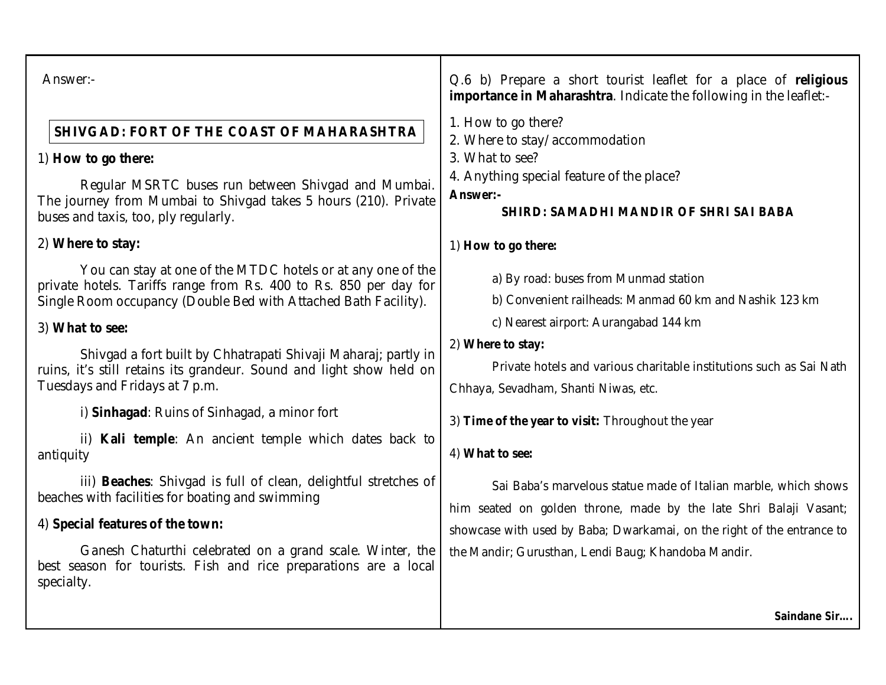| Answer:-                                                                                                                                                                                            | Q.6 b) Prepare a short tourist leaflet for a place of religious<br>importance in Maharashtra. Indicate the following in the leaflet:-                                                                          |  |  |
|-----------------------------------------------------------------------------------------------------------------------------------------------------------------------------------------------------|----------------------------------------------------------------------------------------------------------------------------------------------------------------------------------------------------------------|--|--|
| <b>SHIVGAD: FORT OF THE COAST OF MAHARASHTRA</b>                                                                                                                                                    | 1. How to go there?<br>2. Where to stay/accommodation                                                                                                                                                          |  |  |
| 1) How to go there:                                                                                                                                                                                 | 3. What to see?                                                                                                                                                                                                |  |  |
| Regular MSRTC buses run between Shivgad and Mumbai.<br>The journey from Mumbai to Shivgad takes 5 hours (210). Private<br>buses and taxis, too, ply regularly.                                      | 4. Anything special feature of the place?<br>Answer:-<br><b>SHIRD: SAMADHI MANDIR OF SHRI SAI BABA</b>                                                                                                         |  |  |
| 2) Where to stay:                                                                                                                                                                                   | 1) How to go there:                                                                                                                                                                                            |  |  |
| You can stay at one of the MTDC hotels or at any one of the<br>private hotels. Tariffs range from Rs. 400 to Rs. 850 per day for<br>Single Room occupancy (Double Bed with Attached Bath Facility). | a) By road: buses from Munmad station<br>b) Convenient railheads: Manmad 60 km and Nashik 123 km                                                                                                               |  |  |
| 3) What to see:                                                                                                                                                                                     | c) Nearest airport: Aurangabad 144 km                                                                                                                                                                          |  |  |
| Shivgad a fort built by Chhatrapati Shivaji Maharaj; partly in<br>ruins, it's still retains its grandeur. Sound and light show held on<br>Tuesdays and Fridays at 7 p.m.                            | 2) Where to stay:<br>Private hotels and various charitable institutions such as Sai Nath<br>Chhaya, Sevadham, Shanti Niwas, etc.                                                                               |  |  |
| i) Sinhagad: Ruins of Sinhagad, a minor fort                                                                                                                                                        | 3) Time of the year to visit: Throughout the year                                                                                                                                                              |  |  |
| ii) Kali temple: An ancient temple which dates back to<br>antiquity                                                                                                                                 | 4) What to see:                                                                                                                                                                                                |  |  |
| iii) Beaches: Shivgad is full of clean, delightful stretches of<br>beaches with facilities for boating and swimming                                                                                 | Sai Baba's marvelous statue made of Italian marble, which shows<br>him seated on golden throne, made by the late Shri Balaji Vasant;<br>showcase with used by Baba; Dwarkamai, on the right of the entrance to |  |  |
| 4) Special features of the town:                                                                                                                                                                    |                                                                                                                                                                                                                |  |  |
| Ganesh Chaturthi celebrated on a grand scale. Winter, the<br>best season for tourists. Fish and rice preparations are a local<br>specialty.                                                         | the Mandir; Gurusthan, Lendi Baug; Khandoba Mandir.                                                                                                                                                            |  |  |
|                                                                                                                                                                                                     | Saindane Sir                                                                                                                                                                                                   |  |  |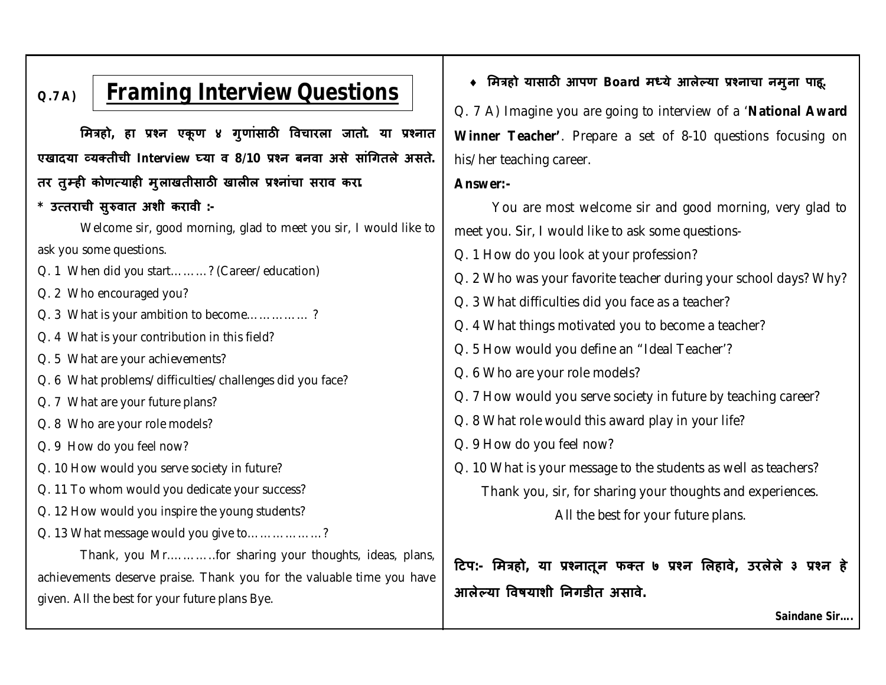#### **Q.7 A) Framing Interview Questions**

**ͧमğहो, हा Ĥæन एकू ण ४ गुणांसाठȤ ͪवचारला जातो. या Ĥæनात एखादया åयÈतीची Interview Ëया व 8/10 Ĥæन बनवा असे सांͬगतले असते. तर तुàहȣ कोण×याहȣ मुलाखतीसाठȤ खालȣल Ĥæनांचा सराव करा.**

## **\* उ×तराची सुǽवात अशी करावी :-**

Welcome sir, good morning, glad to meet you sir, I would like to ask you some questions.

Q. 1 When did you start………? (Career/education)

- Q. 2 Who encouraged you?
- Q. 3 What is your ambition to become…………… ?
- Q. 4 What is your contribution in this field?
- Q. 5 What are your achievements?
- Q. 6 What problems/difficulties/challenges did you face?
- Q. 7 What are your future plans?
- Q. 8 Who are your role models?
- Q. 9 How do you feel now?
- Q. 10 How would you serve society in future?
- Q. 11 To whom would you dedicate your success?
- Q. 12 How would you inspire the young students?
- Q. 13 What message would you give to………………?

Thank, you Mr.………..for sharing your thoughts, ideas, plans, achievements deserve praise. Thank you for the valuable time you have given. All the best for your future plans Bye.

## **ͧमğहो यासाठȤ आपण Board मÚये आलेãया Ĥæनाचा नमुना पाहू.**

Q. 7 A) Imagine you are going to interview of a '**National Award Winner Teacher'**. Prepare a set of 8-10 questions focusing on his/her teaching career.

#### **Answer:-**

You are most welcome sir and good morning, very glad to meet you. Sir, I would like to ask some questions-

- Q. 1 How do you look at your profession?
- Q. 2 Who was your favorite teacher during your school days? Why?
- Q. 3 What difficulties did you face as a teacher?
- Q. 4 What things motivated you to become a teacher?
- Q. 5 How would you define an "Ideal Teacher'?
- Q. 6 Who are your role models?
- Q. 7 How would you serve society in future by teaching career?
- Q. 8 What role would this award play in your life?
- Q. 9 How do you feel now?
- Q. 10 What is your message to the students as well as teachers? Thank you, sir, for sharing your thoughts and experiences.

All the best for your future plans.

**Ǒटप:- ͧमğहो, या Ĥæनातून फÈत ७ Ĥæन ͧलहावे, उरलेले ३ Ĥæन हे आलेãया ͪवषयाशी Ǔनगडीत असावे.**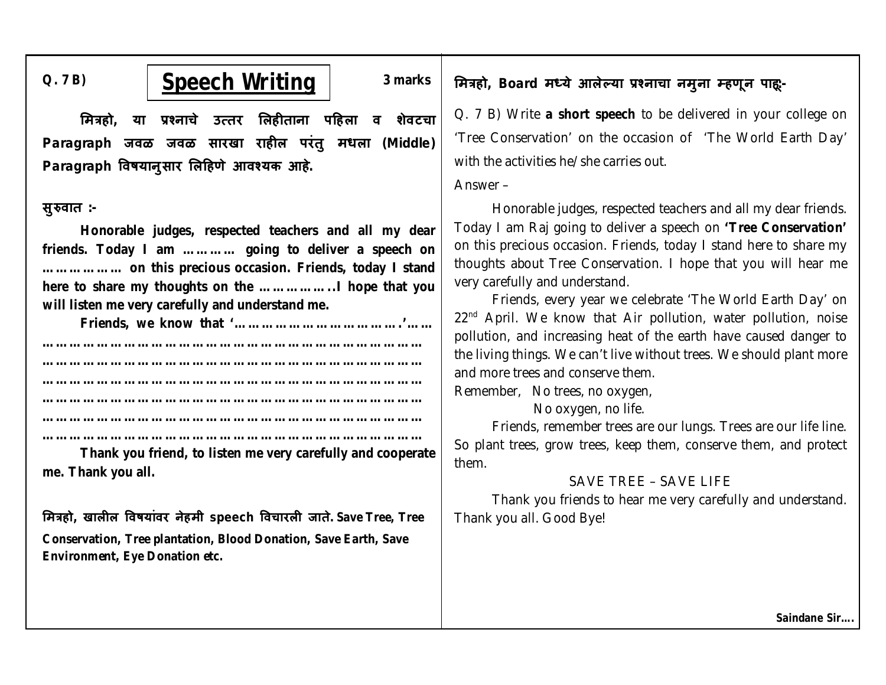## Q. 7 B)  $\qquad \qquad$  **Speech Writing** 3 marks

**ͧमğहो, या Ĥæनाचे उ×तर ͧलहȣताना पǑहला व शेवटचा Paragraph जवळ जवळ सारखा राहȣल परंतु मधला (Middle) Paragraph ͪवषयानुसार ͧलǑहणे आवæयक आहे.**

### **सुǽवात :-**

**Honorable judges, respected teachers and all my dear friends. Today I am ………… going to deliver a speech on ……………… on this precious occasion. Friends, today I stand here to share my thoughts on the ……………..I hope that you will listen me very carefully and understand me.**

**Friends, we know that '……………………………….'……** 

**………………………………………………………………………… ………………………………………………………………………… ………………………………………………………………………… ………………………………………………………………………… ………………………………………………………………………… …………………………………………………………………………**

**Thank you friend, to listen me very carefully and cooperate me. Thank you all.**

**ͧमğहो, खालȣल ͪवषयांवर नेहमी speech ͪवचारलȣ जाते. Save Tree, Tree Conservation, Tree plantation, Blood Donation, Save Earth, Save Environment, Eye Donation etc.**

## **ͧमğहो, Board मÚये आलेãया Ĥæनाचा नमुना àहणून पाहू:-**

Q. 7 B) Write **a short speech** to be delivered in your college on 'Tree Conservation' on the occasion of 'The World Earth Day' with the activities he/she carries out.

#### Answer –

Honorable judges, respected teachers and all my dear friends. Today I am Raj going to deliver a speech on **'Tree Conservation'** on this precious occasion. Friends, today I stand here to share my thoughts about Tree Conservation. I hope that you will hear me very carefully and understand.

Friends, every year we celebrate 'The World Earth Day' on  $22<sup>nd</sup>$  April. We know that Air pollution, water pollution, noise pollution, and increasing heat of the earth have caused danger to the living things. We can't live without trees. We should plant more and more trees and conserve them.

Remember, No trees, no oxygen,

No oxygen, no life.

Friends, remember trees are our lungs. Trees are our life line. So plant trees, grow trees, keep them, conserve them, and protect them.

### SAVE TREE – SAVE LIFE

Thank you friends to hear me very carefully and understand. Thank you all. Good Bye!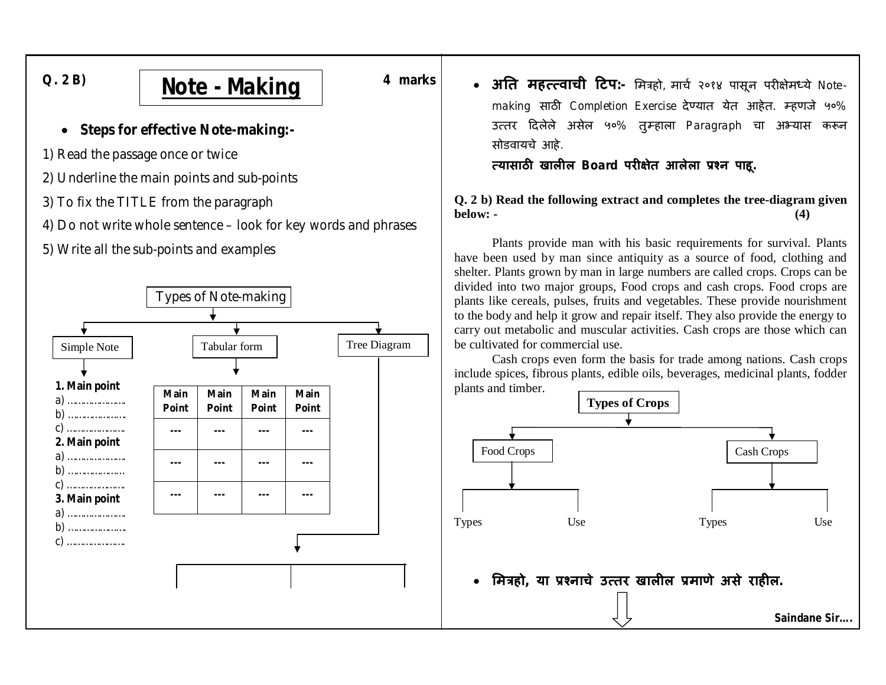

## **Note - Making**

4 marks

- Steps for effective Note-making:-
- 1) Read the passage once or twice
- 2) Underline the main points and sub-points
- 3) To fix the TITLE from the paragraph
- 4) Do not write whole sentence look for key words and phrases
- 5) Write all the sub-points and examples



• अति महत्त्वाची टिप:- मित्रहो, मार्च २०१४ पासून परीक्षेमध्ये Notemaking साठी Completion Exercise देण्यात येत आहेत. म्हणजे ५०% उत्तर दिलेले असेल ५०% तुम्हाला Paragraph चा अभ्यास करून सोडवायचे आहे.

### त्यासाठी खालील Board परीक्षेत आलेला प्रश्न पाहू.

Q. 2 b) Read the following extract and completes the tree-diagram given below: - $(4)$ 

Plants provide man with his basic requirements for survival. Plants have been used by man since antiquity as a source of food, clothing and shelter. Plants grown by man in large numbers are called crops. Crops can be divided into two major groups, Food crops and cash crops. Food crops are plants like cereals, pulses, fruits and vegetables. These provide nourishment to the body and help it grow and repair itself. They also provide the energy to carry out metabolic and muscular activities. Cash crops are those which can be cultivated for commercial use.

Cash crops even form the basis for trade among nations. Cash crops include spices, fibrous plants, edible oils, beverages, medicinal plants, fodder plants and timber.

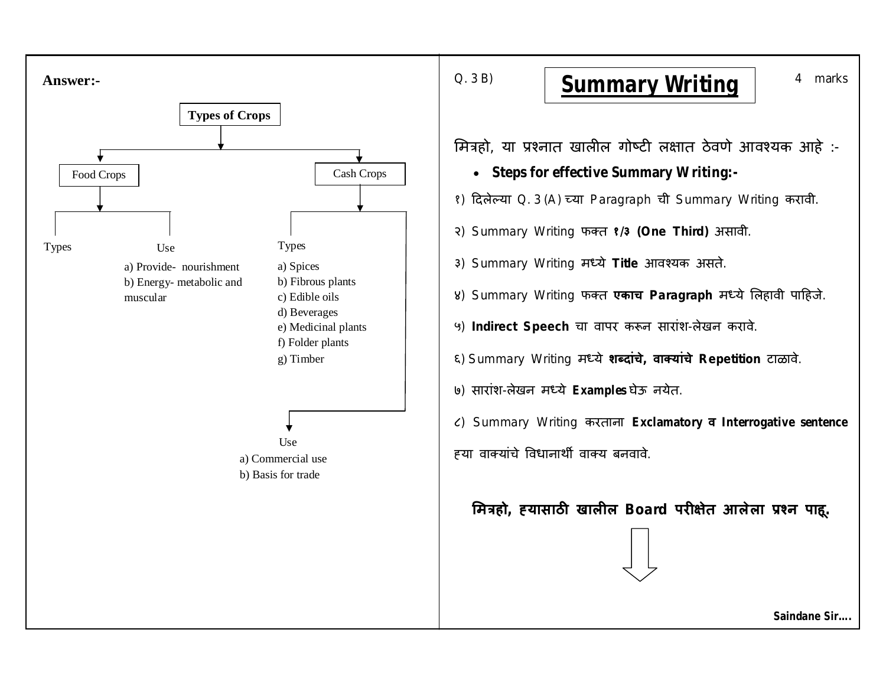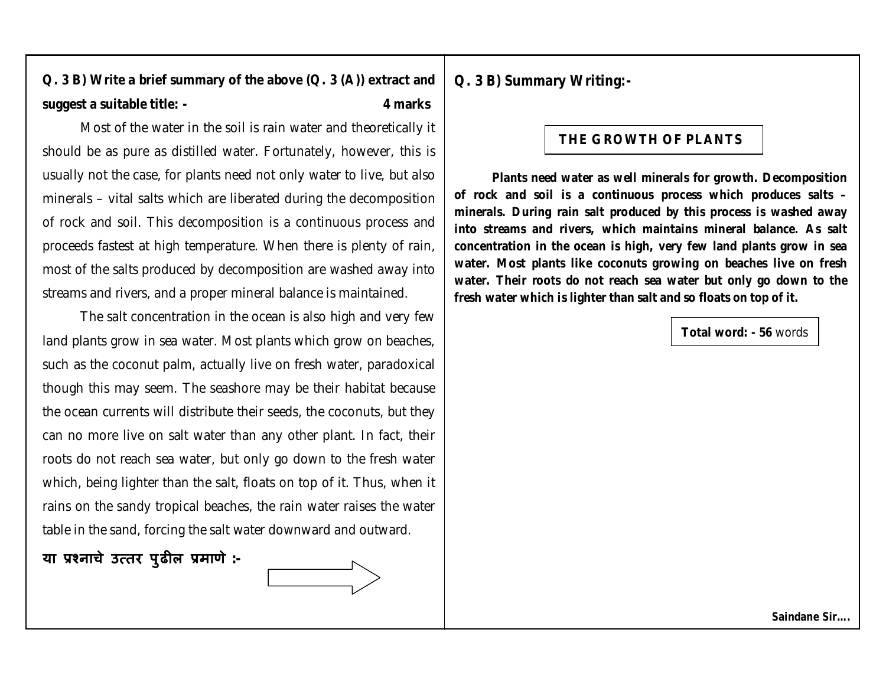## **Q. 3 B) Write a brief summary of the above (Q. 3 (A)) extract and suggest a suitable title: - 4 marks**

Most of the water in the soil is rain water and theoretically it should be as pure as distilled water. Fortunately, however, this is usually not the case, for plants need not only water to live, but also minerals – vital salts which are liberated during the decomposition of rock and soil. This decomposition is a continuous process and proceeds fastest at high temperature. When there is plenty of rain, most of the salts produced by decomposition are washed away into streams and rivers, and a proper mineral balance is maintained.

The salt concentration in the ocean is also high and very few land plants grow in sea water. Most plants which grow on beaches, such as the coconut palm, actually live on fresh water, paradoxical though this may seem. The seashore may be their habitat because the ocean currents will distribute their seeds, the coconuts, but they can no more live on salt water than any other plant. In fact, their roots do not reach sea water, but only go down to the fresh water which, being lighter than the salt, floats on top of it. Thus, when it rains on the sandy tropical beaches, the rain water raises the water table in the sand, forcing the salt water downward and outward.

## **या Ĥæनाचे उ×तर पुढȣल Ĥमाणे :-**

**Q. 3 B) Summary Writing:-**

## **THE GROWTH OF PLANTS**

**Plants need water as well minerals for growth. Decomposition of rock and soil is a continuous process which produces salts – minerals. During rain salt produced by this process is washed away into streams and rivers, which maintains mineral balance. As salt concentration in the ocean is high, very few land plants grow in sea water. Most plants like coconuts growing on beaches live on fresh water. Their roots do not reach sea water but only go down to the fresh water which is lighter than salt and so floats on top of it.**

**Total word: - 56** words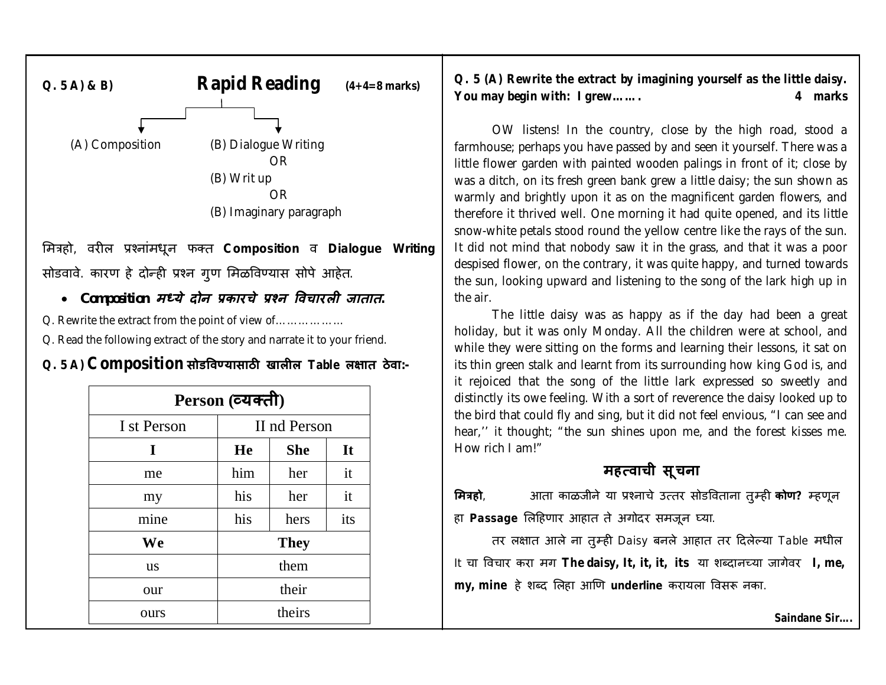

ͧमğहो, वरȣल Ĥæनांमधून फÈत **Composition** व **Dialogue Writing** सोडवावे. कारण हे दोन्ही प्रश्न गुण मिळविण्यास सोपे आहेत.

## *Composition मÚये दोन Ĥकारचे Ĥæन ͪवचारलȣ जातात.*

Q. Rewrite the extract from the point of view of………………

Q. Read the following extract of the story and narrate it to your friend.

## **Q. 5 A) Composition सोडͪवÖयासाठȤ खालȣल Table ल¢ात ठेवा:-**

| Person (व्यक्ती) |              |             | distinctly its owe feeling. With a sort of reverence the daisy looked up to |                                                                                                                                                        |
|------------------|--------------|-------------|-----------------------------------------------------------------------------|--------------------------------------------------------------------------------------------------------------------------------------------------------|
| I st Person      | II nd Person |             |                                                                             | the bird that could fly and sing, but it did not feel envious, "I can see and<br>hear," it thought; "the sun shines upon me, and the forest kisses me. |
|                  | He           | <b>She</b>  | It                                                                          | How rich I am!"                                                                                                                                        |
| me               | him          | her         | it                                                                          | महत्वाची सूचना                                                                                                                                         |
| my               | his          | her         | it                                                                          | आता काळजीने या प्रश्नाचे उत्तर सोडविताना तुम्ही <b>कोण?</b> म्हणून<br>मित्रहो,                                                                         |
| mine             | his          | hers        | its                                                                         | हा Passage लिहिणार आहात ते अगोदर समजून घ्या.                                                                                                           |
| <b>We</b>        |              | <b>They</b> |                                                                             | तर लक्षात आले ना तुम्ही Daisy बनले आहात तर दिलेल्या Table मधील                                                                                         |
| <b>us</b>        |              | them        |                                                                             | It चा विचार करा मग The daisy, It, it, it, its या शब्दानच्या जागेवर I, me,                                                                              |
| our              |              | their       |                                                                             | my, mine हे शब्द लिहा आणि underline करायला विसरू नका.                                                                                                  |
| ours             |              | theirs      |                                                                             | Saindane Sir                                                                                                                                           |

**Q. 5 (A) Rewrite the extract by imagining yourself as the little daisy. You may begin with: I grew……. 4 marks**

OW listens! In the country, close by the high road, stood a farmhouse; perhaps you have passed by and seen it yourself. There was a little flower garden with painted wooden palings in front of it; close by was a ditch, on its fresh green bank grew a little daisy; the sun shown as warmly and brightly upon it as on the magnificent garden flowers, and therefore it thrived well. One morning it had quite opened, and its little snow-white petals stood round the yellow centre like the rays of the sun. It did not mind that nobody saw it in the grass, and that it was a poor despised flower, on the contrary, it was quite happy, and turned towards the sun, looking upward and listening to the song of the lark high up in the air.

The little daisy was as happy as if the day had been a great holiday, but it was only Monday. All the children were at school, and while they were sitting on the forms and learning their lessons, it sat on its thin green stalk and learnt from its surrounding how king God is, and it rejoiced that the song of the little lark expressed so sweetly and distinctly its owe feeling. With a sort of reverence the daisy looked up to the bird that could fly and sing, but it did not feel envious, "I can see and hear,'' it thought; "the sun shines upon me, and the forest kisses me. How rich I am!"

## **मह×वाची सूचना**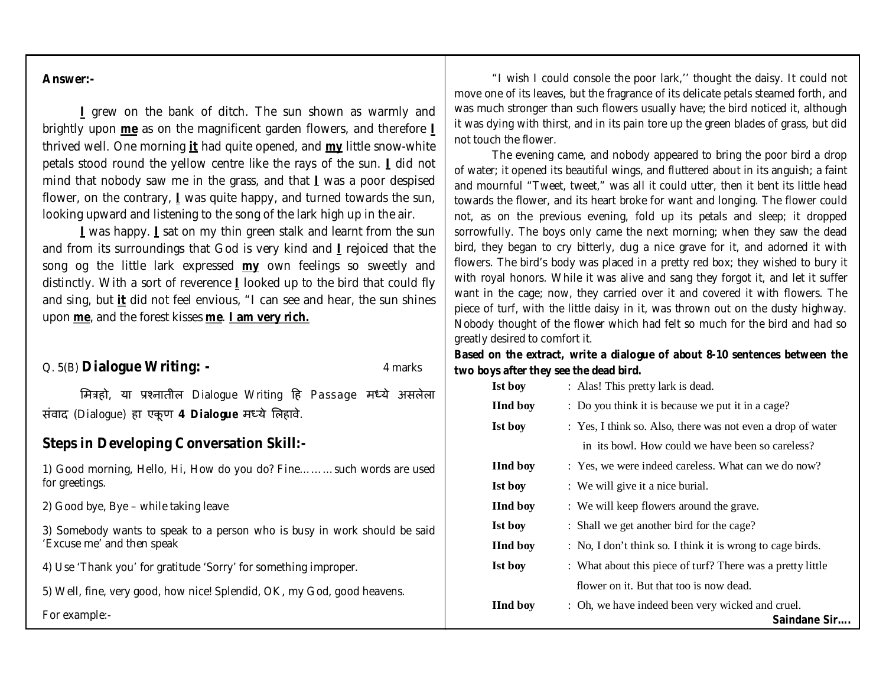#### **Answer:-**

**I** grew on the bank of ditch. The sun shown as warmly and brightly upon **me** as on the magnificent garden flowers, and therefore **I** thrived well. One morning **it** had quite opened, and **my** little snow-white petals stood round the yellow centre like the rays of the sun. **I** did not mind that nobody saw me in the grass, and that **I** was a poor despised flower, on the contrary, **I** was quite happy, and turned towards the sun, looking upward and listening to the song of the lark high up in the air.

**I** was happy. **I** sat on my thin green stalk and learnt from the sun and from its surroundings that God is very kind and **I** rejoiced that the song og the little lark expressed **my** own feelings so sweetly and distinctly. With a sort of reverence **I** looked up to the bird that could fly and sing, but **it** did not feel envious, "I can see and hear, the sun shines upon **me**, and the forest kisses **me**. **I am very rich.**

#### Q. 5(B) **Dialogue Writing: -** 4 marks

मित्रहो, या प्रश्नातील Dialogue Writing हि Passage मध्ये असलेला संवाद (Dialogue) हा एकू ण **4 Dialogue** मÚये ͧलहावे.

#### **Steps in Developing Conversation Skill:-**

1) Good morning, Hello, Hi, How do you do? Fine………such words are used for greetings.

2) Good bye, Bye – while taking leave

3) Somebody wants to speak to a person who is busy in work should be said 'Excuse me' and then speak

4) Use 'Thank you' for gratitude 'Sorry' for something improper.

5) Well, fine, very good, how nice! Splendid, OK, my God, good heavens.

For example:-

"I wish I could console the poor lark,'' thought the daisy. It could not move one of its leaves, but the fragrance of its delicate petals steamed forth, and was much stronger than such flowers usually have; the bird noticed it, although it was dying with thirst, and in its pain tore up the green blades of grass, but did not touch the flower.

The evening came, and nobody appeared to bring the poor bird a drop of water; it opened its beautiful wings, and fluttered about in its anguish; a faint and mournful "Tweet, tweet," was all it could utter, then it bent its little head towards the flower, and its heart broke for want and longing. The flower could not, as on the previous evening, fold up its petals and sleep; it dropped sorrowfully. The boys only came the next morning; when they saw the dead bird, they began to cry bitterly, dug a nice grave for it, and adorned it with flowers. The bird's body was placed in a pretty red box; they wished to bury it with royal honors. While it was alive and sang they forgot it, and let it suffer want in the cage; now, they carried over it and covered it with flowers. The piece of turf, with the little daisy in it, was thrown out on the dusty highway. Nobody thought of the flower which had felt so much for the bird and had so greatly desired to comfort it.

#### **Based on the extract, write a dialogue of about 8-10 sentences between the two boys after they see the dead bird.**

| <b>Ist boy</b>  | : Alas! This pretty lark is dead.                                |
|-----------------|------------------------------------------------------------------|
| <b>IInd boy</b> | : Do you think it is because we put it in a cage?                |
| Ist boy         | : Yes, I think so. Also, there was not even a drop of water      |
|                 | in its bowl. How could we have been so careless?                 |
| <b>IInd boy</b> | : Yes, we were indeed careless. What can we do now?              |
| <b>Ist boy</b>  | : We will give it a nice burial.                                 |
| <b>IInd boy</b> | : We will keep flowers around the grave.                         |
| Ist boy         | : Shall we get another bird for the cage?                        |
| <b>IInd boy</b> | : No, I don't think so. I think it is wrong to cage birds.       |
| Ist boy         | : What about this piece of turf? There was a pretty little       |
|                 | flower on it. But that too is now dead.                          |
| <b>IInd boy</b> | : Oh, we have indeed been very wicked and cruel.<br>Saindane Sir |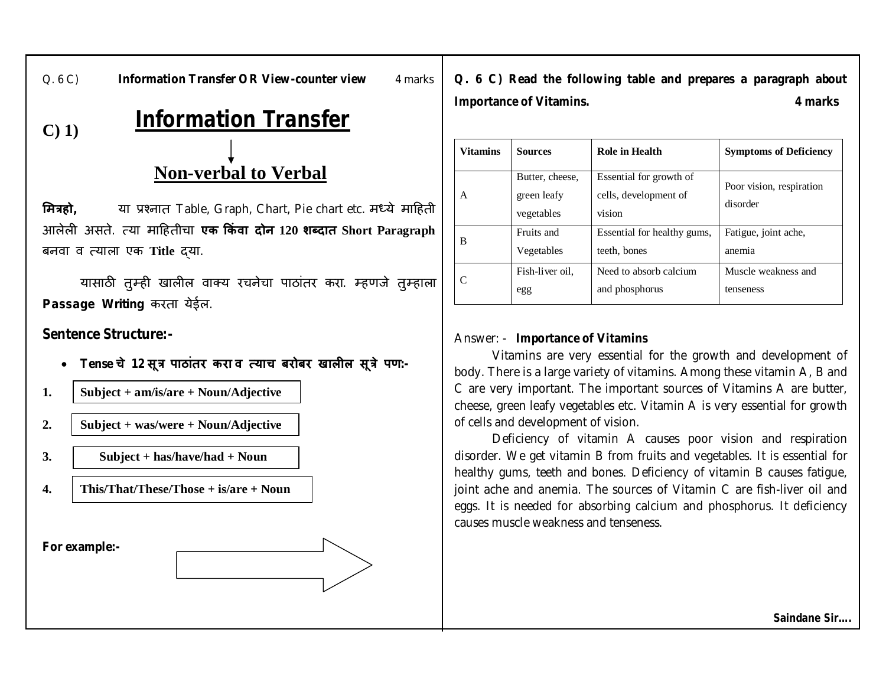Q. 6 C) **Information Transfer OR View-counter view** 4 marks

**Q. 6 C) Read the following table and prepares a paragraph about Importance of Vitamins. 4 marks**

## **Information Transfer**

## **Non-verbal to Verbal**

**मित्रहो**, या प्रश्नात Table, Graph, Chart, Pie chart etc. मध्ये माहिती आलेलȣ असते. ×या माǑहतीचा **एक ͩकं वा दोन 120 शÞदात Short Paragraph** बनवा व ×याला एक **Title** ɮया.

यासाठी तुम्ही खालील वाक्य रचनेचा पाठांतर करा. म्हणजे तुम्हाला **Passage Writing** करता येईल.

## **Sentence Structure:-**

**C) 1)**

- **Tense चे 12 सूğ पाठांतर करा व ×याच बरोबर खालȣल सूğे पण:-**
- **1. Subject + am/is/are + Noun/Adjective**
- **2. Subject + was/were + Noun/Adjective**
- **3. Subject + has/have/had + Noun**
- **4. This/That/These/Those + is/are + Noun**

**For example:-**

| <b>Vitamins</b> | <b>Sources</b>                               | <b>Role in Health</b>                                      | <b>Symptoms of Deficiency</b>        |
|-----------------|----------------------------------------------|------------------------------------------------------------|--------------------------------------|
| A               | Butter, cheese,<br>green leafy<br>vegetables | Essential for growth of<br>cells, development of<br>vision | Poor vision, respiration<br>disorder |
| B               | Fruits and                                   | Essential for healthy gums,                                | Fatigue, joint ache,                 |
|                 | Vegetables                                   | teeth, bones                                               | anemia                               |
|                 | Fish-liver oil.                              | Need to absorb calcium                                     | Muscle weakness and                  |
|                 | egg                                          | and phosphorus                                             | tenseness                            |

## Answer: - **Importance of Vitamins**

Vitamins are very essential for the growth and development of body. There is a large variety of vitamins. Among these vitamin A, B and C are very important. The important sources of Vitamins A are butter, cheese, green leafy vegetables etc. Vitamin A is very essential for growth of cells and development of vision.

Deficiency of vitamin A causes poor vision and respiration disorder. We get vitamin B from fruits and vegetables. It is essential for healthy gums, teeth and bones. Deficiency of vitamin B causes fatigue, joint ache and anemia. The sources of Vitamin C are fish-liver oil and eggs. It is needed for absorbing calcium and phosphorus. It deficiency causes muscle weakness and tenseness.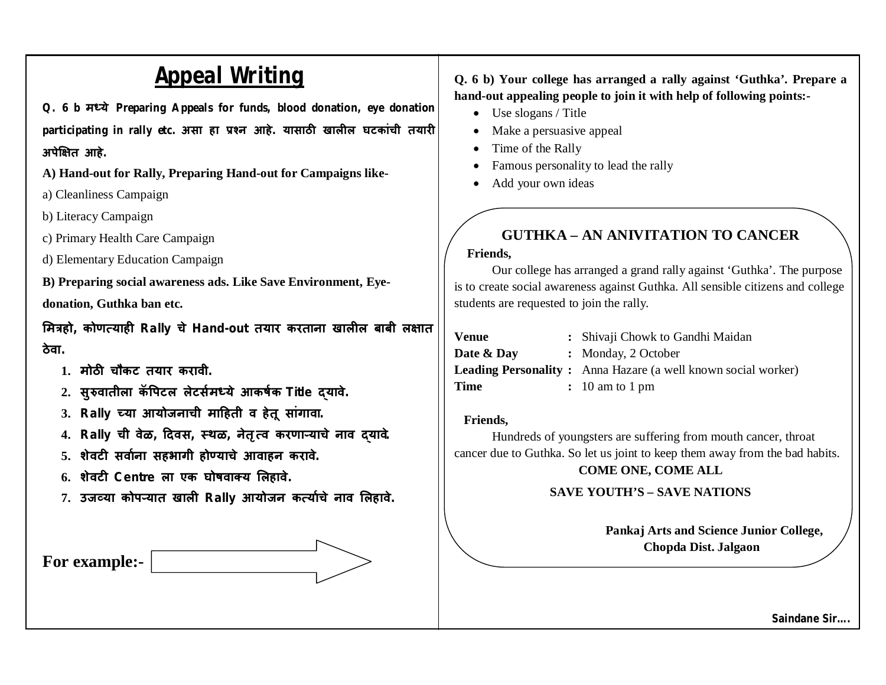## **Appeal Writing**

**Q. 6 b मÚये Preparing Appeals for funds, blood donation, eye donation**  participating in rally etc. असा हा प्रश्न आहे. यासाठी खालील घटकांची तयारी **अपेͯ¢त आहे.**

**A) Hand-out for Rally, Preparing Hand-out for Campaigns like-**

a) Cleanliness Campaign

b) Literacy Campaign

c) Primary Health Care Campaign

d) Elementary Education Campaign

**B) Preparing social awareness ads. Like Save Environment, Eyedonation, Guthka ban etc.**

**ͧमğहो, कोण×याहȣ Rally चे Hand-out तयार करताना खालȣल बाबी ल¢ात ठेवा.**

- **1. मोठȤ चौकट तयार करावी.**
- **2. सुǽवातीला कॅ ͪपटल लेटस[मÚये आकष[क Title ɮयावे.**
- **3. Rally Íया आयोजनाची माǑहती व हेतू सांगावा.**
- **4. Rally ची वेळ, Ǒदवस, èथळ, नेतृ ×व करणाâयाचे नाव ɮयावे.**
- **5. शेवटȣ सवा[ना सहभागी होÖयाचे आवाहन करावे.**
- **6. शेवटȣ Centre ला एक घोषवाÈय ͧलहावे.**
- **7. उजåया कोपâयात खालȣ Rally आयोजन क×या[चे नाव ͧलहावे.**



**Q. 6 b) Your college has arranged a rally against 'Guthka'. Prepare a hand-out appealing people to join it with help of following points:-**

- Use slogans / Title
- Make a persuasive appeal
- Time of the Rally
- Famous personality to lead the rally
- Add your own ideas

## **GUTHKA – AN ANIVITATION TO CANCER**

### **Friends,**

Our college has arranged a grand rally against 'Guthka'. The purpose is to create social awareness against Guthka. All sensible citizens and college students are requested to join the rally.

| Venue      | : Shivaji Chowk to Gandhi Maidan                                     |
|------------|----------------------------------------------------------------------|
| Date & Day | : Monday, 2 October                                                  |
|            | <b>Leading Personality:</b> Anna Hazare (a well known social worker) |
| Time       | $: 10$ am to 1 pm                                                    |

### **Friends,**

Hundreds of youngsters are suffering from mouth cancer, throat cancer due to Guthka. So let us joint to keep them away from the bad habits. **COME ONE, COME ALL**

## **SAVE YOUTH'S – SAVE NATIONS**

**Pankaj Arts and Science Junior College, Chopda Dist. Jalgaon**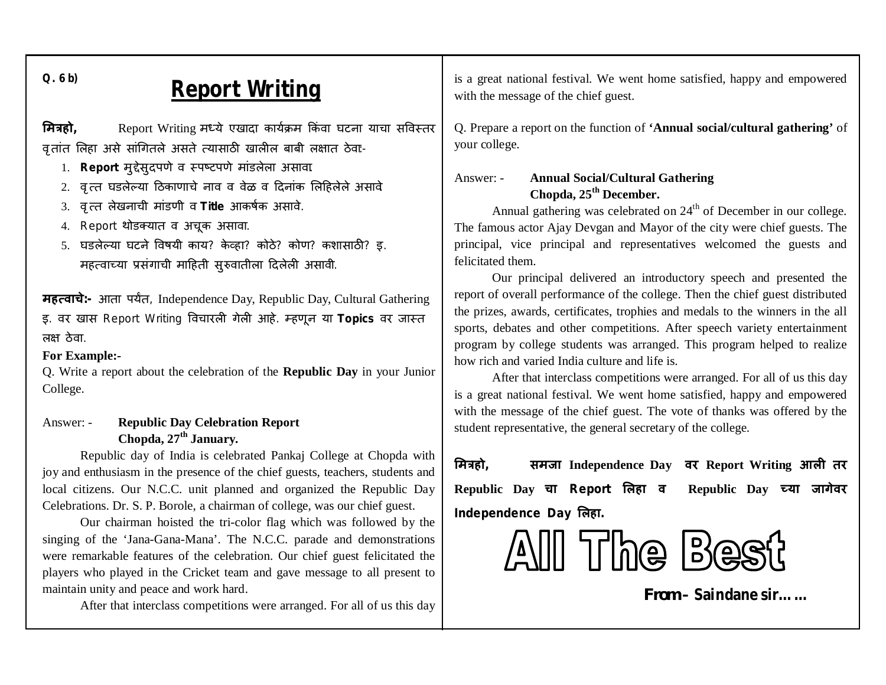**Q. 6 b)** 

## **Report Writing**

**मित्रहो**, Report Writing मध्ये एखादा कार्यक्रम किंवा घटना याचा सविस्तर वृतांत लिहा असे सांगितले असते त्यासाठी खालील बाबी लक्षात ठेवा:-

- 1. **Report** मुद्देसुदपणे व स्पष्टपणे मांडलेला असावा.
- 2. वृत्त घडलेल्या ठिकाणाचे नाव व वेळ व दिनांक लिहिलेले असावे.
- 3. वृत्त लेखनाची मांडणी व Title आकर्षक असावे.
- 4. Report थोडक्यात व अचूक असावा.
- 5. घडलेल्या घटने विषयी काय? केव्हा? कोठे? कोण? कशासाठी? इ. महत्वाच्या प्रसंगाची माहिती सुरुवातीला दिलेली असावी.

**महत्वाचे**:- आता पर्यंत, Independence Day, Republic Day, Cultural Gathering इ. वर खास Report Writing विचारली गेली आहे. म्हणून या Topics वर जास्त लक्ष ठेवा.

#### **For Example:-**

Q. Write a report about the celebration of the **Republic Day** in your Junior College.

### Answer: - **Republic Day Celebration Report Chopda, 27th January.**

Republic day of India is celebrated Pankaj College at Chopda with joy and enthusiasm in the presence of the chief guests, teachers, students and local citizens. Our N.C.C. unit planned and organized the Republic Day Celebrations. Dr. S. P. Borole, a chairman of college, was our chief guest.

Our chairman hoisted the tri-color flag which was followed by the singing of the 'Jana-Gana-Mana'. The N.C.C. parade and demonstrations were remarkable features of the celebration. Our chief guest felicitated the players who played in the Cricket team and gave message to all present to maintain unity and peace and work hard.

After that interclass competitions were arranged. For all of us this day

is a great national festival. We went home satisfied, happy and empowered with the message of the chief guest.

Q. Prepare a report on the function of **'Annual social/cultural gathering'** of your college.

## Answer: - **Annual Social/Cultural Gathering Chopda, 25th December.**

Annual gathering was celebrated on 24<sup>th</sup> of December in our college. The famous actor Ajay Devgan and Mayor of the city were chief guests. The principal, vice principal and representatives welcomed the guests and felicitated them.

Our principal delivered an introductory speech and presented the report of overall performance of the college. Then the chief guest distributed the prizes, awards, certificates, trophies and medals to the winners in the all sports, debates and other competitions. After speech variety entertainment program by college students was arranged. This program helped to realize how rich and varied India culture and life is.

After that interclass competitions were arranged. For all of us this day is a great national festival. We went home satisfied, happy and empowered with the message of the chief guest. The vote of thanks was offered by the student representative, the general secretary of the college.

**ͧमğहो, समजा Independence Day वर Report Writing आलȣ तर Republic Day चा Report ͧलहा व Republic Day Íया जागेवर Independence Day ͧलहा.**



*From* **– Saindane sir……**